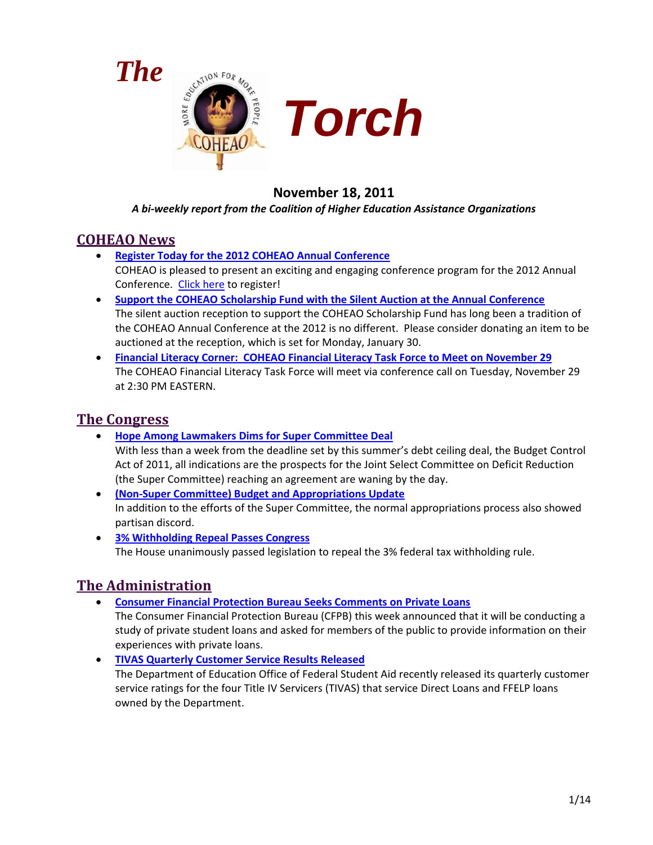



# **November 18, 2011**

#### *A bi-weekly report from the Coalition of Higher Education Assistance Organizations*

# **COHEAO News**

- **[Register Today for the 2012 COHEAO Annual Conference](#page-2-0)** COHEAO is pleased to present an exciting and engaging conference program for the 2012 Annual Conference. [Click here](https://netforum.avectra.com/eWeb/DynamicPage.aspx?Site=COHEAO&WebCode=EventDetail&evt_key=baab50f6-75ff-4eaf-b953-114d79026c04) to register!
- **[Support the COHEAO Scholarship Fund with the Silent Auction at the Annual Conference](#page-2-1)** The silent auction reception to support the COHEAO Scholarship Fund has long been a tradition of the COHEAO Annual Conference at the 2012 is no different. Please consider donating an item to be auctioned at the reception, which is set for Monday, January 30.
- **[Financial Literacy Corner: COHEAO Financial Literacy Task Force to Meet on November 29](#page-3-0)** The COHEAO Financial Literacy Task Force will meet via conference call on Tuesday, November 29 at 2:30 PM EASTERN.

## **The Congress**

- **[Hope Among Lawmakers Dims for Super Committee Deal](#page-3-1)** With less than a week from the deadline set by this summer's debt ceiling deal, the Budget Control Act of 2011, all indications are the prospects for the Joint Select Committee on Deficit Reduction (the Super Committee) reaching an agreement are waning by the day.
- **[\(Non-Super Committee\) Budget and Appropriations Update](#page-4-0)** In addition to the efforts of the Super Committee, the normal appropriations process also showed partisan discord.
- **[3% Withholding Repeal Passes Congress](#page-5-0)** The House unanimously passed legislation to repeal the 3% federal tax withholding rule.

# **The Administration**

• **[Consumer Financial Protection Bureau Seeks Comments on Private Loans](#page-5-1)**

The Consumer Financial Protection Bureau (CFPB) this week announced that it will be conducting a study of private student loans and asked for members of the public to provide information on their experiences with private loans.

• **[TIVAS Quarterly Customer Service Results Released](#page-6-0)** The Department of Education Office of Federal Student Aid recently released its quarterly customer service ratings for the four Title IV Servicers (TIVAS) that service Direct Loans and FFELP loans owned by the Department.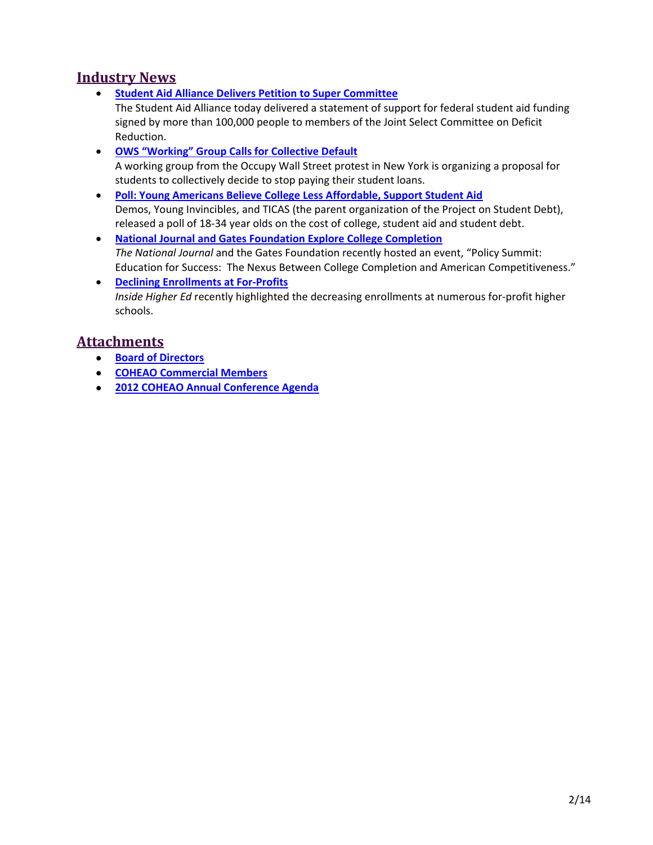## **Industry News**

• **[Student Aid Alliance Delivers Petition to Super Committee](#page-7-0)**

The Student Aid Alliance today delivered a statement of support for federal student aid funding signed by more than 100,000 people to members of the Joint Select Committee on Deficit Reduction.

- **[OWS "Working" Group Calls for Collective Default](#page-7-1)** A working group from the Occupy Wall Street protest in New York is organizing a proposal for students to collectively decide to stop paying their student loans.
- **[Poll: Young Americans Believe College Less Affordable, Support Student Aid](#page-8-0)** Demos, Young Invincibles, and TICAS (the parent organization of the Project on Student Debt), released a poll of 18-34 year olds on the cost of college, student aid and student debt.
- **[National Journal and Gates Foundation Explore College Completion](#page-8-1)** *The National Journal* and the Gates Foundation recently hosted an event, "Policy Summit: Education for Success: The Nexus Between College Completion and American Competitiveness."
- **[Declining Enrollments at For-Profits](#page-9-0)** *Inside Higher Ed* recently highlighted the decreasing enrollments at numerous for-profit higher schools.

# **Attachments**

- **[Board of Directors](#page-10-0)**
- **[COHEAO Commercial Members](#page-12-0)**
- **2012 COHEAO Annual Conference Agenda**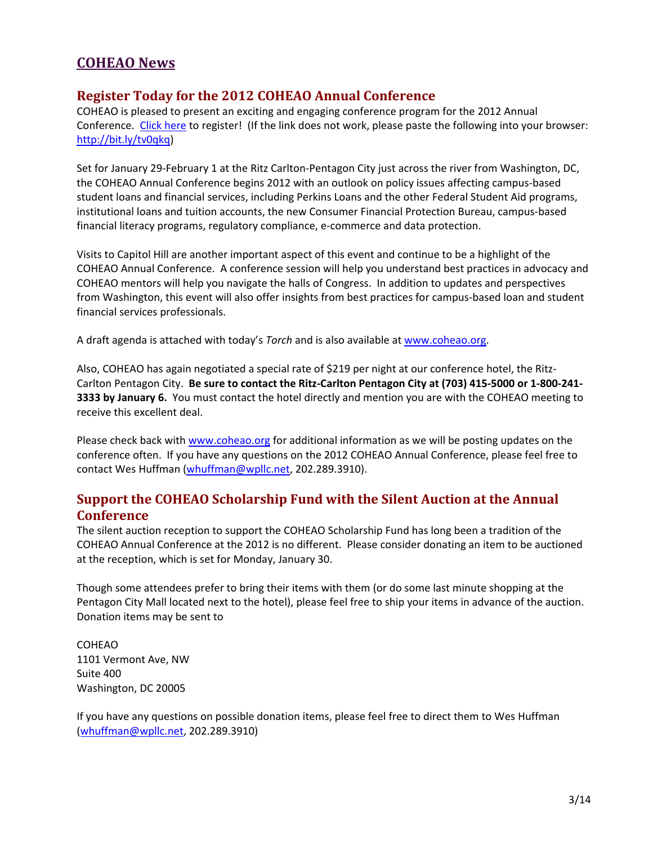# **COHEAO News**

#### <span id="page-2-0"></span>**Register Today for the 2012 COHEAO Annual Conference**

COHEAO is pleased to present an exciting and engaging conference program for the 2012 Annual Conference. [Click here](https://netforum.avectra.com/eWeb/DynamicPage.aspx?Site=COHEAO&WebCode=EventDetail&evt_key=baab50f6-75ff-4eaf-b953-114d79026c04) to register! (If the link does not work, please paste the following into your browser: [http://bit.ly/tv0qkq\)](http://bit.ly/tv0qkq)

Set for January 29-February 1 at the Ritz Carlton-Pentagon City just across the river from Washington, DC, the COHEAO Annual Conference begins 2012 with an outlook on policy issues affecting campus-based student loans and financial services, including Perkins Loans and the other Federal Student Aid programs, institutional loans and tuition accounts, the new Consumer Financial Protection Bureau, campus-based financial literacy programs, regulatory compliance, e-commerce and data protection.

Visits to Capitol Hill are another important aspect of this event and continue to be a highlight of the COHEAO Annual Conference. A conference session will help you understand best practices in advocacy and COHEAO mentors will help you navigate the halls of Congress. In addition to updates and perspectives from Washington, this event will also offer insights from best practices for campus-based loan and student financial services professionals.

A draft agenda is attached with today's *Torch* and is also available at [www.coheao.org.](http://www.coheao.org/)

Also, COHEAO has again negotiated a special rate of \$219 per night at our conference hotel, the Ritz-Carlton Pentagon City. **Be sure to contact the Ritz-Carlton Pentagon City at (703) 415-5000 or 1-800-241- 3333 by January 6.** You must contact the hotel directly and mention you are with the COHEAO meeting to receive this excellent deal.

Please check back with [www.coheao.org](http://www.coheao.org/) for additional information as we will be posting updates on the conference often. If you have any questions on the 2012 COHEAO Annual Conference, please feel free to contact Wes Huffman [\(whuffman@wpllc.net,](mailto:whuffman@wpllc.net) 202.289.3910).

## <span id="page-2-1"></span>**Support the COHEAO Scholarship Fund with the Silent Auction at the Annual Conference**

The silent auction reception to support the COHEAO Scholarship Fund has long been a tradition of the COHEAO Annual Conference at the 2012 is no different. Please consider donating an item to be auctioned at the reception, which is set for Monday, January 30.

Though some attendees prefer to bring their items with them (or do some last minute shopping at the Pentagon City Mall located next to the hotel), please feel free to ship your items in advance of the auction. Donation items may be sent to

COHEAO 1101 Vermont Ave, NW Suite 400 Washington, DC 20005

If you have any questions on possible donation items, please feel free to direct them to Wes Huffman [\(whuffman@wpllc.net,](mailto:whuffman@wpllc.net) 202.289.3910)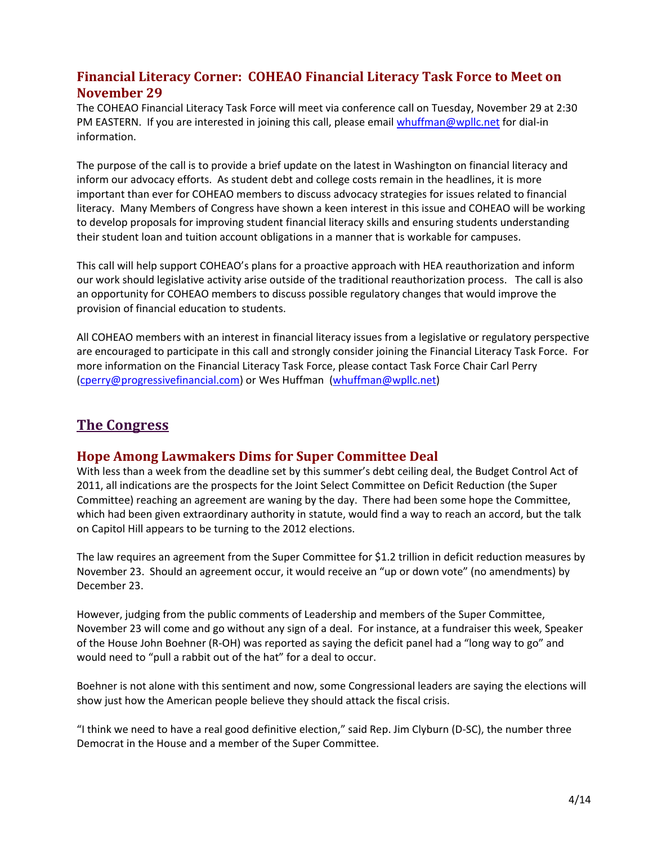## <span id="page-3-0"></span>**Financial Literacy Corner: COHEAO Financial Literacy Task Force to Meet on November 29**

The COHEAO Financial Literacy Task Force will meet via conference call on Tuesday, November 29 at 2:30 PM EASTERN. If you are interested in joining this call, please email [whuffman@wpllc.net](mailto:whuffman@wpllc.net) for dial-in information.

The purpose of the call is to provide a brief update on the latest in Washington on financial literacy and inform our advocacy efforts. As student debt and college costs remain in the headlines, it is more important than ever for COHEAO members to discuss advocacy strategies for issues related to financial literacy. Many Members of Congress have shown a keen interest in this issue and COHEAO will be working to develop proposals for improving student financial literacy skills and ensuring students understanding their student loan and tuition account obligations in a manner that is workable for campuses.

This call will help support COHEAO's plans for a proactive approach with HEA reauthorization and inform our work should legislative activity arise outside of the traditional reauthorization process. The call is also an opportunity for COHEAO members to discuss possible regulatory changes that would improve the provision of financial education to students.

All COHEAO members with an interest in financial literacy issues from a legislative or regulatory perspective are encouraged to participate in this call and strongly consider joining the Financial Literacy Task Force. For more information on the Financial Literacy Task Force, please contact Task Force Chair Carl Perry [\(cperry@progressivefinancial.com\)](mailto:cperry@progressivefinancial.com) or Wes Huffman [\(whuffman@wpllc.net\)](mailto:whuffman@wpllc.net)

# **The Congress**

## <span id="page-3-1"></span>**Hope Among Lawmakers Dims for Super Committee Deal**

With less than a week from the deadline set by this summer's debt ceiling deal, the Budget Control Act of 2011, all indications are the prospects for the Joint Select Committee on Deficit Reduction (the Super Committee) reaching an agreement are waning by the day. There had been some hope the Committee, which had been given extraordinary authority in statute, would find a way to reach an accord, but the talk on Capitol Hill appears to be turning to the 2012 elections.

The law requires an agreement from the Super Committee for \$1.2 trillion in deficit reduction measures by November 23. Should an agreement occur, it would receive an "up or down vote" (no amendments) by December 23.

However, judging from the public comments of Leadership and members of the Super Committee, November 23 will come and go without any sign of a deal. For instance, at a fundraiser this week, Speaker of the House John Boehner (R-OH) was reported as saying the deficit panel had a "long way to go" and would need to "pull a rabbit out of the hat" for a deal to occur.

Boehner is not alone with this sentiment and now, some Congressional leaders are saying the elections will show just how the American people believe they should attack the fiscal crisis.

"I think we need to have a real good definitive election," said Rep. Jim Clyburn (D-SC), the number three Democrat in the House and a member of the Super Committee.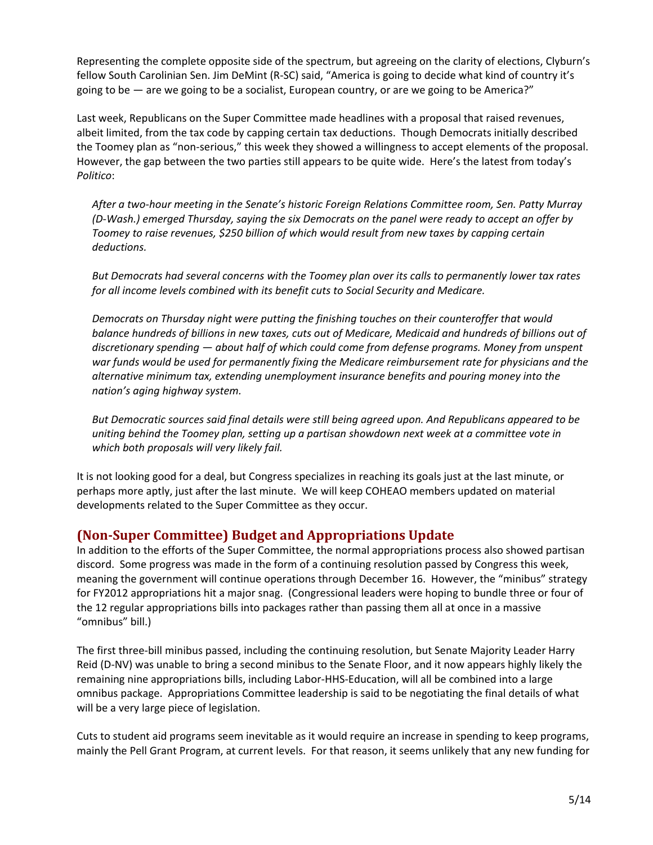Representing the complete opposite side of the spectrum, but agreeing on the clarity of elections, Clyburn's fellow South Carolinian Sen. Jim DeMint (R-SC) said, "America is going to decide what kind of country it's going to be  $-$  are we going to be a socialist, European country, or are we going to be America?"

Last week, Republicans on the Super Committee made headlines with a proposal that raised revenues, albeit limited, from the tax code by capping certain tax deductions. Though Democrats initially described the Toomey plan as "non-serious," this week they showed a willingness to accept elements of the proposal. However, the gap between the two parties still appears to be quite wide. Here's the latest from today's *Politico*:

*After a two-hour meeting in the Senate's historic Foreign Relations Committee room, Sen. Patty Murray (D-Wash.) emerged Thursday, saying the six Democrats on the panel were ready to accept an offer by Toomey to raise revenues, \$250 billion of which would result from new taxes by capping certain deductions.*

*But Democrats had several concerns with the Toomey plan over its calls to permanently lower tax rates for all income levels combined with its benefit cuts to Social Security and Medicare.*

*Democrats on Thursday night were putting the finishing touches on their counteroffer that would balance hundreds of billions in new taxes, cuts out of Medicare, Medicaid and hundreds of billions out of discretionary spending — about half of which could come from defense programs. Money from unspent war funds would be used for permanently fixing the Medicare reimbursement rate for physicians and the alternative minimum tax, extending unemployment insurance benefits and pouring money into the nation's aging highway system.*

*But Democratic sources said final details were still being agreed upon. And Republicans appeared to be uniting behind the Toomey plan, setting up a partisan showdown next week at a committee vote in which both proposals will very likely fail.*

It is not looking good for a deal, but Congress specializes in reaching its goals just at the last minute, or perhaps more aptly, just after the last minute. We will keep COHEAO members updated on material developments related to the Super Committee as they occur.

## <span id="page-4-0"></span>**(Non-Super Committee) Budget and Appropriations Update**

In addition to the efforts of the Super Committee, the normal appropriations process also showed partisan discord. Some progress was made in the form of a continuing resolution passed by Congress this week, meaning the government will continue operations through December 16. However, the "minibus" strategy for FY2012 appropriations hit a major snag. (Congressional leaders were hoping to bundle three or four of the 12 regular appropriations bills into packages rather than passing them all at once in a massive "omnibus" bill.)

The first three-bill minibus passed, including the continuing resolution, but Senate Majority Leader Harry Reid (D-NV) was unable to bring a second minibus to the Senate Floor, and it now appears highly likely the remaining nine appropriations bills, including Labor-HHS-Education, will all be combined into a large omnibus package. Appropriations Committee leadership is said to be negotiating the final details of what will be a very large piece of legislation.

Cuts to student aid programs seem inevitable as it would require an increase in spending to keep programs, mainly the Pell Grant Program, at current levels. For that reason, it seems unlikely that any new funding for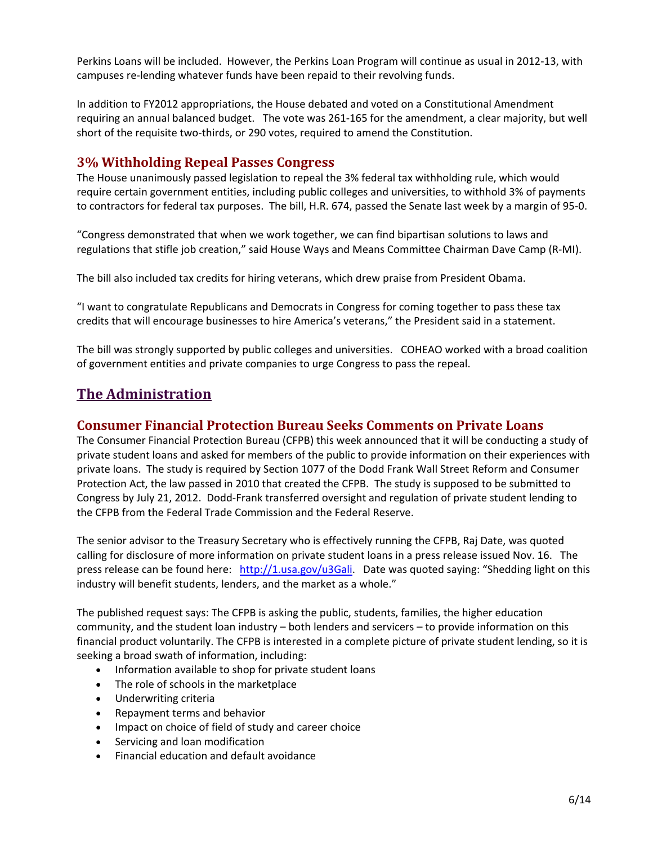Perkins Loans will be included. However, the Perkins Loan Program will continue as usual in 2012-13, with campuses re-lending whatever funds have been repaid to their revolving funds.

In addition to FY2012 appropriations, the House debated and voted on a Constitutional Amendment requiring an annual balanced budget. The vote was 261-165 for the amendment, a clear majority, but well short of the requisite two-thirds, or 290 votes, required to amend the Constitution.

### <span id="page-5-0"></span>**3% Withholding Repeal Passes Congress**

The House unanimously passed legislation to repeal the 3% federal tax withholding rule, which would require certain government entities, including public colleges and universities, to withhold 3% of payments to contractors for federal tax purposes. The bill, H.R. 674, passed the Senate last week by a margin of 95-0.

"Congress demonstrated that when we work together, we can find bipartisan solutions to laws and regulations that stifle job creation," said House Ways and Means Committee Chairman Dave Camp (R-MI).

The bill also included tax credits for hiring veterans, which drew praise from President Obama.

"I want to congratulate Republicans and Democrats in Congress for coming together to pass these tax credits that will encourage businesses to hire America's veterans," the President said in a statement.

The bill was strongly supported by public colleges and universities. COHEAO worked with a broad coalition of government entities and private companies to urge Congress to pass the repeal.

## **The Administration**

#### <span id="page-5-1"></span>**Consumer Financial Protection Bureau Seeks Comments on Private Loans**

The Consumer Financial Protection Bureau (CFPB) this week announced that it will be conducting a study of private student loans and asked for members of the public to provide information on their experiences with private loans. The study is required by Section 1077 of the Dodd Frank Wall Street Reform and Consumer Protection Act, the law passed in 2010 that created the CFPB. The study is supposed to be submitted to Congress by July 21, 2012. Dodd-Frank transferred oversight and regulation of private student lending to the CFPB from the Federal Trade Commission and the Federal Reserve.

The senior advisor to the Treasury Secretary who is effectively running the CFPB, Raj Date, was quoted calling for disclosure of more information on private student loans in a press release issued Nov. 16. The press release can be found here: [http://1.usa.gov/u3Gali.](http://1.usa.gov/u3Gali) Date was quoted saying: "Shedding light on this industry will benefit students, lenders, and the market as a whole."

The published request says: The CFPB is asking the public, students, families, the higher education community, and the student loan industry – both lenders and servicers – to provide information on this financial product voluntarily. The CFPB is interested in a complete picture of private student lending, so it is seeking a broad swath of information, including:

- Information available to shop for private student loans
- The role of schools in the marketplace
- Underwriting criteria
- Repayment terms and behavior
- Impact on choice of field of study and career choice
- Servicing and loan modification
- Financial education and default avoidance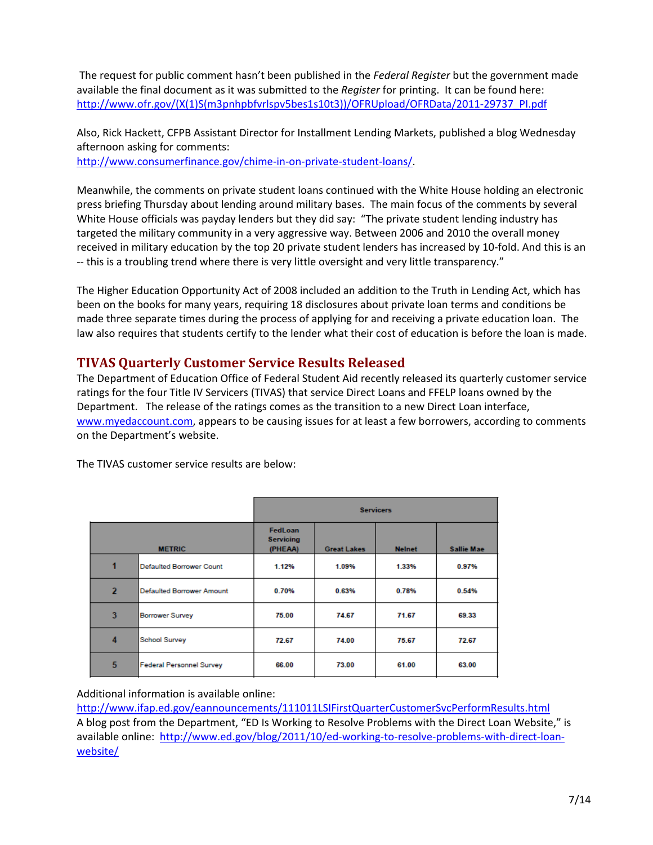The request for public comment hasn't been published in the *Federal Register* but the government made available the final document as it was submitted to the *Register* for printing. It can be found here: [http://www.ofr.gov/\(X\(1\)S\(m3pnhpbfvrlspv5bes1s10t3\)\)/OFRUpload/OFRData/2011-29737\\_PI.pdf](http://www.ofr.gov/(X(1)S(m3pnhpbfvrlspv5bes1s10t3))/OFRUpload/OFRData/2011-29737_PI.pdf)

Also, Rick Hackett, CFPB Assistant Director for Installment Lending Markets, published a blog Wednesday afternoon asking for comments:

[http://www.consumerfinance.gov/chime-in-on-private-student-loans/.](http://www.consumerfinance.gov/chime-in-on-private-student-loans/)

Meanwhile, the comments on private student loans continued with the White House holding an electronic press briefing Thursday about lending around military bases. The main focus of the comments by several White House officials was payday lenders but they did say: "The private student lending industry has targeted the military community in a very aggressive way. Between 2006 and 2010 the overall money received in military education by the top 20 private student lenders has increased by 10-fold. And this is an -- this is a troubling trend where there is very little oversight and very little transparency."

The Higher Education Opportunity Act of 2008 included an addition to the Truth in Lending Act, which has been on the books for many years, requiring 18 disclosures about private loan terms and conditions be made three separate times during the process of applying for and receiving a private education loan. The law also requires that students certify to the lender what their cost of education is before the loan is made.

## <span id="page-6-0"></span>**TIVAS Quarterly Customer Service Results Released**

The Department of Education Office of Federal Student Aid recently released its quarterly customer service ratings for the four Title IV Servicers (TIVAS) that service Direct Loans and FFELP loans owned by the Department. The release of the ratings comes as the transition to a new Direct Loan interface, [www.myedaccount.com,](http://www.myedaccount.com/) appears to be causing issues for at least a few borrowers, according to comments on the Department's website.

|                |                                  | <b>Servicers</b>                       |                    |               |                   |
|----------------|----------------------------------|----------------------------------------|--------------------|---------------|-------------------|
| <b>METRIC</b>  |                                  | FedLoan<br><b>Servicing</b><br>(PHEAA) | <b>Great Lakes</b> | <b>Nelnet</b> | <b>Sallie Mae</b> |
| 1              | <b>Defaulted Borrower Count</b>  | 1.12%                                  | 1.09%              | 1.33%         | 0.97%             |
| $\overline{2}$ | <b>Defaulted Borrower Amount</b> | 0.70%                                  | 0.63%              | 0.78%         | 0.54%             |
| 3              | <b>Borrower Survey</b>           | 75.00                                  | 74.67              | 71.67         | 69.33             |
| 4              | <b>School Survey</b>             | 72.67                                  | 74.00              | 75.67         | 72.67             |
| 5              | <b>Federal Personnel Survey</b>  | 66.00                                  | 73.00              | 61.00         | 63.00             |

The TIVAS customer service results are below:

Additional information is available online:

<http://www.ifap.ed.gov/eannouncements/111011LSIFirstQuarterCustomerSvcPerformResults.html> A blog post from the Department, "ED Is Working to Resolve Problems with the Direct Loan Website," is available online: [http://www.ed.gov/blog/2011/10/ed-working-to-resolve-problems-with-direct-loan](http://www.ed.gov/blog/2011/10/ed-working-to-resolve-problems-with-direct-loan-website/)[website/](http://www.ed.gov/blog/2011/10/ed-working-to-resolve-problems-with-direct-loan-website/)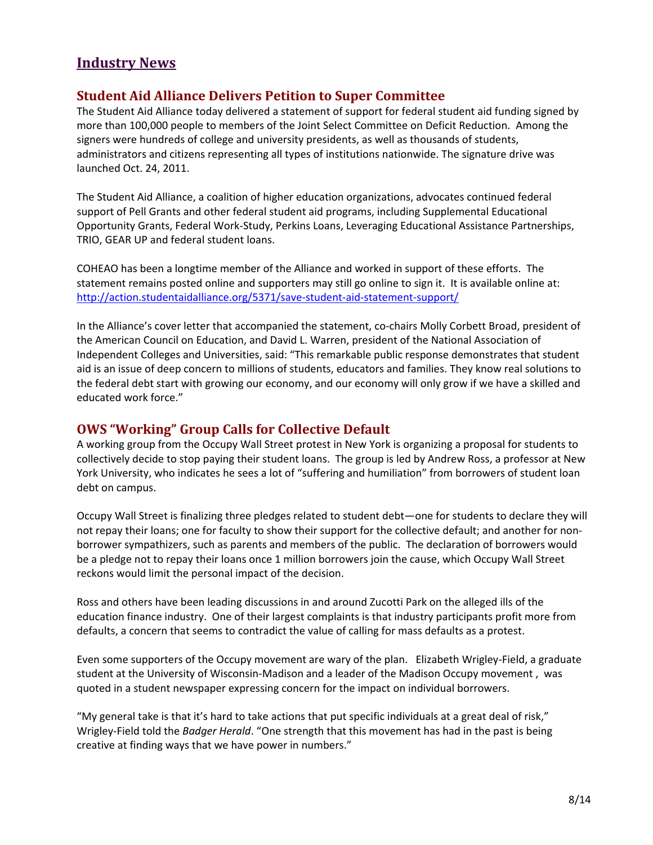# **Industry News**

### <span id="page-7-0"></span>**Student Aid Alliance Delivers Petition to Super Committee**

The Student Aid Alliance today delivered a statement of support for federal student aid funding signed by more than 100,000 people to members of the Joint Select Committee on Deficit Reduction. Among the signers were hundreds of college and university presidents, as well as thousands of students, administrators and citizens representing all types of institutions nationwide. The signature drive was launched Oct. 24, 2011.

The Student Aid Alliance, a coalition of higher education organizations, advocates continued federal support of Pell Grants and other federal student aid programs, including Supplemental Educational Opportunity Grants, Federal Work-Study, Perkins Loans, Leveraging Educational Assistance Partnerships, TRIO, GEAR UP and federal student loans.

COHEAO has been a longtime member of the Alliance and worked in support of these efforts. The statement remains posted online and supporters may still go online to sign it. It is available online at: <http://action.studentaidalliance.org/5371/save-student-aid-statement-support/>

In the Alliance's cover letter that accompanied the statement, co-chairs Molly Corbett Broad, president of the American Council on Education, and David L. Warren, president of the National Association of Independent Colleges and Universities, said: "This remarkable public response demonstrates that student aid is an issue of deep concern to millions of students, educators and families. They know real solutions to the federal debt start with growing our economy, and our economy will only grow if we have a skilled and educated work force."

## <span id="page-7-1"></span>**OWS "Working" Group Calls for Collective Default**

A working group from the Occupy Wall Street protest in New York is organizing a proposal for students to collectively decide to stop paying their student loans. The group is led by Andrew Ross, a professor at New York University, who indicates he sees a lot of "suffering and humiliation" from borrowers of student loan debt on campus.

Occupy Wall Street is finalizing three pledges related to student debt—one for students to declare they will not repay their loans; one for faculty to show their support for the collective default; and another for nonborrower sympathizers, such as parents and members of the public. The declaration of borrowers would be a pledge not to repay their loans once 1 million borrowers join the cause, which Occupy Wall Street reckons would limit the personal impact of the decision.

Ross and others have been leading discussions in and around Zucotti Park on the alleged ills of the education finance industry. One of their largest complaints is that industry participants profit more from defaults, a concern that seems to contradict the value of calling for mass defaults as a protest.

Even some supporters of the Occupy movement are wary of the plan. Elizabeth Wrigley-Field, a graduate student at the University of Wisconsin-Madison and a leader of the Madison Occupy movement , was quoted in a student newspaper expressing concern for the impact on individual borrowers.

"My general take is that it's hard to take actions that put specific individuals at a great deal of risk," Wrigley-Field told the *Badger Herald*. "One strength that this movement has had in the past is being creative at finding ways that we have power in numbers."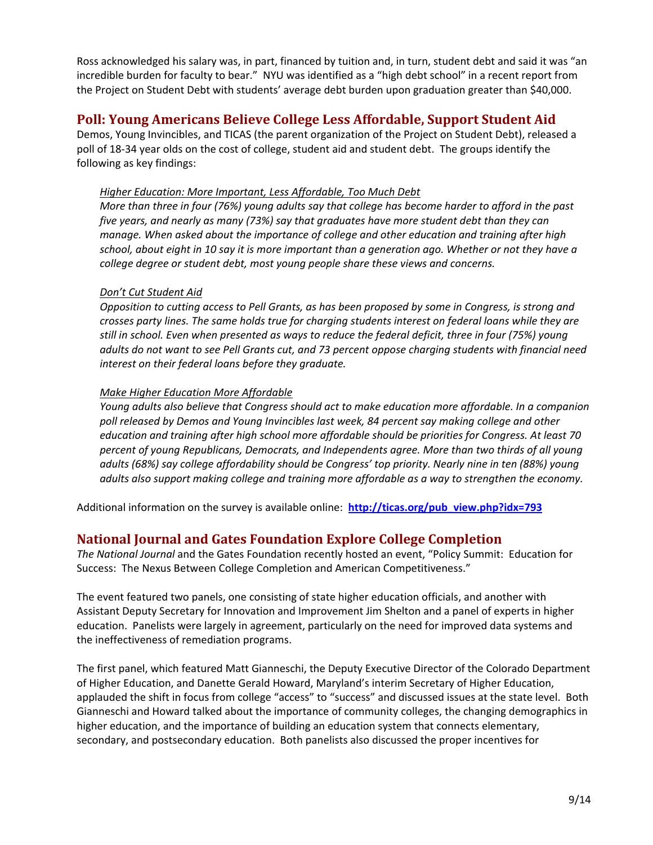Ross acknowledged his salary was, in part, financed by tuition and, in turn, student debt and said it was "an incredible burden for faculty to bear." NYU was identified as a "high debt school" in a recent report from the Project on Student Debt with students' average debt burden upon graduation greater than \$40,000.

## <span id="page-8-0"></span>**Poll: Young Americans Believe College Less Affordable, Support Student Aid**

Demos, Young Invincibles, and TICAS (the parent organization of the Project on Student Debt), released a poll of 18-34 year olds on the cost of college, student aid and student debt. The groups identify the following as key findings:

#### *Higher Education: More Important, Less Affordable, Too Much Debt*

*More than three in four (76%) young adults say that college has become harder to afford in the past five years, and nearly as many (73%) say that graduates have more student debt than they can manage. When asked about the importance of college and other education and training after high school, about eight in 10 say it is more important than a generation ago. Whether or not they have a college degree or student debt, most young people share these views and concerns.* 

#### *Don't Cut Student Aid*

*Opposition to cutting access to Pell Grants, as has been proposed by some in Congress, is strong and crosses party lines. The same holds true for charging students interest on federal loans while they are still in school. Even when presented as ways to reduce the federal deficit, three in four (75%) young adults do not want to see Pell Grants cut, and 73 percent oppose charging students with financial need interest on their federal loans before they graduate.* 

#### *Make Higher Education More Affordable*

*Young adults also believe that Congress should act to make education more affordable. In a companion poll released by Demos and Young Invincibles last week, 84 percent say making college and other education and training after high school more affordable should be priorities for Congress. At least 70 percent of young Republicans, Democrats, and Independents agree. More than two thirds of all young adults (68%) say college affordability should be Congress' top priority. Nearly nine in ten (88%) young adults also support making college and training more affordable as a way to strengthen the economy.*

Additional information on the survey is available online: **[http://ticas.org/pub\\_view.php?idx=793](http://ticas.org/pub_view.php?idx=793)**

## <span id="page-8-1"></span>**National Journal and Gates Foundation Explore College Completion**

*The National Journal* and the Gates Foundation recently hosted an event, "Policy Summit: Education for Success: The Nexus Between College Completion and American Competitiveness."

The event featured two panels, one consisting of state higher education officials, and another with Assistant Deputy Secretary for Innovation and Improvement Jim Shelton and a panel of experts in higher education. Panelists were largely in agreement, particularly on the need for improved data systems and the ineffectiveness of remediation programs.

The first panel, which featured Matt Gianneschi, the Deputy Executive Director of the Colorado Department of Higher Education, and Danette Gerald Howard, Maryland's interim Secretary of Higher Education, applauded the shift in focus from college "access" to "success" and discussed issues at the state level. Both Gianneschi and Howard talked about the importance of community colleges, the changing demographics in higher education, and the importance of building an education system that connects elementary, secondary, and postsecondary education. Both panelists also discussed the proper incentives for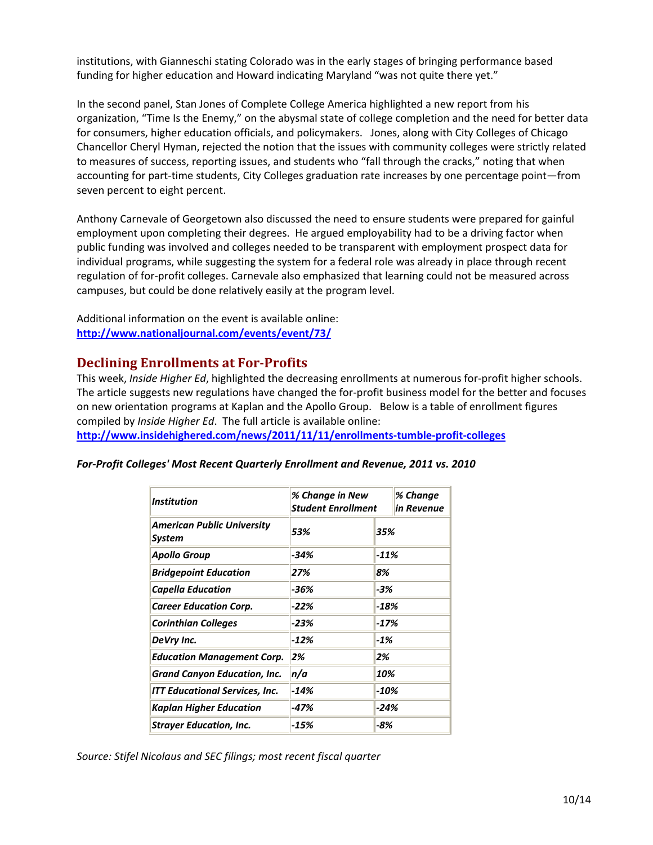institutions, with Gianneschi stating Colorado was in the early stages of bringing performance based funding for higher education and Howard indicating Maryland "was not quite there yet."

In the second panel, Stan Jones of Complete College America highlighted a new report from his organization, "Time Is the Enemy," on the abysmal state of college completion and the need for better data for consumers, higher education officials, and policymakers. Jones, along with City Colleges of Chicago Chancellor Cheryl Hyman, rejected the notion that the issues with community colleges were strictly related to measures of success, reporting issues, and students who "fall through the cracks," noting that when accounting for part-time students, City Colleges graduation rate increases by one percentage point—from seven percent to eight percent.

Anthony Carnevale of Georgetown also discussed the need to ensure students were prepared for gainful employment upon completing their degrees. He argued employability had to be a driving factor when public funding was involved and colleges needed to be transparent with employment prospect data for individual programs, while suggesting the system for a federal role was already in place through recent regulation of for-profit colleges. Carnevale also emphasized that learning could not be measured across campuses, but could be done relatively easily at the program level.

Additional information on the event is available online: **<http://www.nationaljournal.com/events/event/73/>**

### <span id="page-9-0"></span>**Declining Enrollments at For-Profits**

This week, *Inside Higher Ed*, highlighted the decreasing enrollments at numerous for-profit higher schools. The article suggests new regulations have changed the for-profit business model for the better and focuses on new orientation programs at Kaplan and the Apollo Group. Below is a table of enrollment figures compiled by *Inside Higher Ed*. The full article is available online:

**<http://www.insidehighered.com/news/2011/11/11/enrollments-tumble-profit-colleges>**

| <i><b>Institution</b></i>                          | % Change in New<br><b>Student Enrollment</b> |        | % Change<br>in Revenue |
|----------------------------------------------------|----------------------------------------------|--------|------------------------|
| <b>American Public University</b><br><b>System</b> | 53%                                          | 35%    |                        |
| <b>Apollo Group</b>                                | $-34%$                                       | $-11%$ |                        |
| <b>Bridgepoint Education</b>                       | 27%                                          | 8%     |                        |
| Capella Education                                  | -36%                                         | -3%    |                        |
| <b>Career Education Corp.</b>                      | $-22%$                                       | -18%   |                        |
| <b>Corinthian Colleges</b>                         | -23%                                         | $-17%$ |                        |
| DeVry Inc.                                         | $-12%$                                       | $-1%$  |                        |
| <b>Education Management Corp.</b>                  | 2%                                           | 2%     |                        |
| <b>Grand Canyon Education, Inc.</b>                | n/a<br>10%                                   |        |                        |
| <b>ITT Educational Services, Inc.</b>              | $-10%$<br>$-14%$                             |        |                        |
| <b>Kaplan Higher Education</b>                     | -47%                                         | $-24%$ |                        |
| <b>Strayer Education, Inc.</b>                     | -15%                                         | -8%    |                        |

*For-Profit Colleges' Most Recent Quarterly Enrollment and Revenue, 2011 vs. 2010*

*Source: Stifel Nicolaus and SEC filings; most recent fiscal quarter*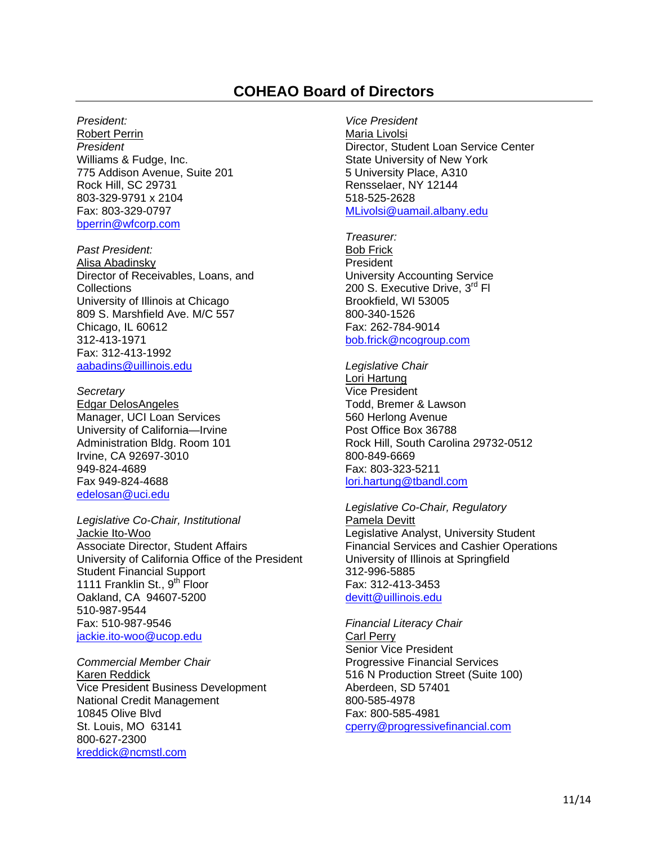# **COHEAO Board of Directors**

#### <span id="page-10-0"></span>*President:*

Robert Perrin *President* Williams & Fudge, Inc. 775 Addison Avenue, Suite 201 Rock Hill, SC 29731 803-329-9791 x 2104 Fax: 803-329-0797 [bperrin@wfcorp.com](mailto:bperrin@wfcorp.com)

*Past President:* Alisa Abadinsky Director of Receivables, Loans, and **Collections** University of Illinois at Chicago 809 S. Marshfield Ave. M/C 557 Chicago, IL 60612 312-413-1971 Fax: 312-413-1992 [aabadins@uillinois.edu](mailto:aabadins@uillinois.edu)

*Secretary* Edgar DelosAngeles Manager, UCI Loan Services University of California—Irvine Administration Bldg. Room 101 Irvine, CA 92697-3010 949-824-4689 Fax 949-824-4688 edelosan@uci.edu

*Legislative Co-Chair, Institutional*  Jackie Ito-Woo Associate Director, Student Affairs University of California Office of the President Student Financial Support 1111 Franklin St., 9<sup>th</sup> Floor Oakland, CA 94607-5200 510-987-9544 Fax: 510-987-9546 [jackie.ito-woo@ucop.edu](mailto:jackie.ito-woo@ucop.edu)

*Commercial Member Chair* Karen Reddick Vice President Business Development National Credit Management 10845 Olive Blvd St. Louis, MO 63141 800-627-2300 [kreddick@ncmstl.com](mailto:kreddick@ncmstl.com)

*Vice President*  Maria Livolsi Director, Student Loan Service Center State University of New York 5 University Place, A310 Rensselaer, NY 12144 518-525-2628 [MLivolsi@uamail.albany.edu](mailto:MLivolsi@uamail.albany.edu)

*Treasurer:* Bob Frick **President** University Accounting Service 200 S. Executive Drive, 3<sup>rd</sup> Fl Brookfield, WI 53005 800-340-1526 Fax: 262-784-9014 [bob.frick@ncogroup.com](mailto:bob.frick@ncogroup.com)

*Legislative Chair* Lori Hartung Vice President Todd, Bremer & Lawson 560 Herlong Avenue Post Office Box 36788 Rock Hill, South Carolina 29732-0512 800-849-6669 Fax: 803-323-5211 [lori.hartung@tbandl.com](mailto:lori.hartung@tbandl.com)

*Legislative Co-Chair, Regulatory*  Pamela Devitt Legislative Analyst, University Student Financial Services and Cashier Operations University of Illinois at Springfield 312-996-5885 Fax: 312-413-3453 [devitt@uillinois.edu](mailto:devitt@uillinois.edu)

*Financial Literacy Chair* Carl Perry Senior Vice President Progressive Financial Services 516 N Production Street (Suite 100) Aberdeen, SD 57401 800-585-4978 Fax: 800-585-4981 cperry@progressivefinancial.com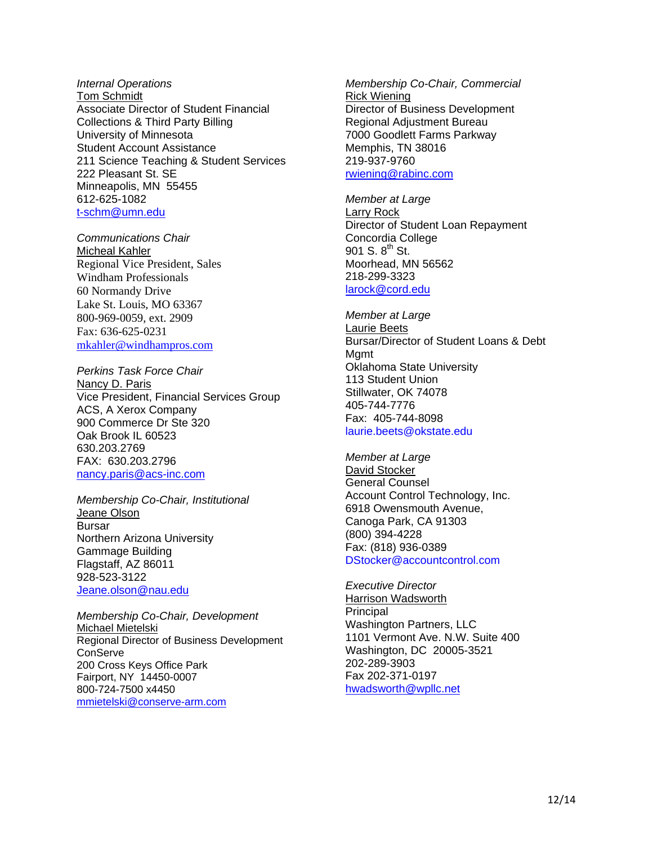#### *Internal Operations* Tom Schmidt Associate Director of Student Financial Collections & Third Party Billing University of Minnesota Student Account Assistance 211 Science Teaching & Student Services 222 Pleasant St. SE Minneapolis, MN 55455 612-625-1082 [t-schm@umn.edu](mailto:t-schm@umn.edu)

*Communications Chair* Micheal Kahler Regional Vice President, Sales Windham Professionals 60 Normandy Drive Lake St. Louis, MO 63367 800-969-0059, ext. 2909 Fax: 636-625-0231 [mkahler@windhampros.com](mailto:mkahler@windhampros.com)

*Perkins Task Force Chair*  Nancy D. Paris Vice President, Financial Services Group ACS, A Xerox Company 900 Commerce Dr Ste 320 Oak Brook IL 60523 630.203.2769 FAX: 630.203.2796 [nancy.paris@acs-inc.com](mailto:nancy.paris@acs-inc.com)

*Membership Co-Chair, Institutional* Jeane Olson Bursar Northern Arizona University Gammage Building Flagstaff, AZ 86011 928-523-3122 [Jeane.olson@nau.edu](mailto:Jeane.olson@nau.edu)

*Membership Co-Chair, Development* Michael Mietelski Regional Director of Business Development **ConServe** 200 Cross Keys Office Park Fairport, NY 14450-0007 800-724-7500 x4450 [mmietelski@conserve-arm.com](mailto:mmietelski@conserve-arm.com)

*Membership Co-Chair, Commercial*  Rick Wiening Director of Business Development Regional Adjustment Bureau 7000 Goodlett Farms Parkway Memphis, TN 38016 219-937-9760 [rwiening@rabinc.com](mailto:rwiening@rabinc.com)

*Member at Large* Larry Rock Director of Student Loan Repayment Concordia College 901 S.  $8^{th}$  St. Moorhead, MN 56562 218-299-3323 [larock@cord.edu](mailto:larock@cord.edu) 

*Member at Large* Laurie Beets Bursar/Director of Student Loans & Debt Mamt Oklahoma State University 113 Student Union Stillwater, OK 74078 405-744-7776 Fax: 405-744-8098 [laurie.beets@okstate.edu](mailto:laurie.beets@okstate.edu)

*Member at Large* David Stocker General Counsel Account Control Technology, Inc. 6918 Owensmouth Avenue, Canoga Park, CA 91303 (800) 394-4228 Fax: (818) 936-0389 [DStocker@accountcontrol.com](mailto:DStocker@accountcontrol.com)

*Executive Director* Harrison Wadsworth Principal Washington Partners, LLC 1101 Vermont Ave. N.W. Suite 400 Washington, DC 20005-3521 202-289-3903 Fax 202-371-0197 hwadsworth@wpllc.net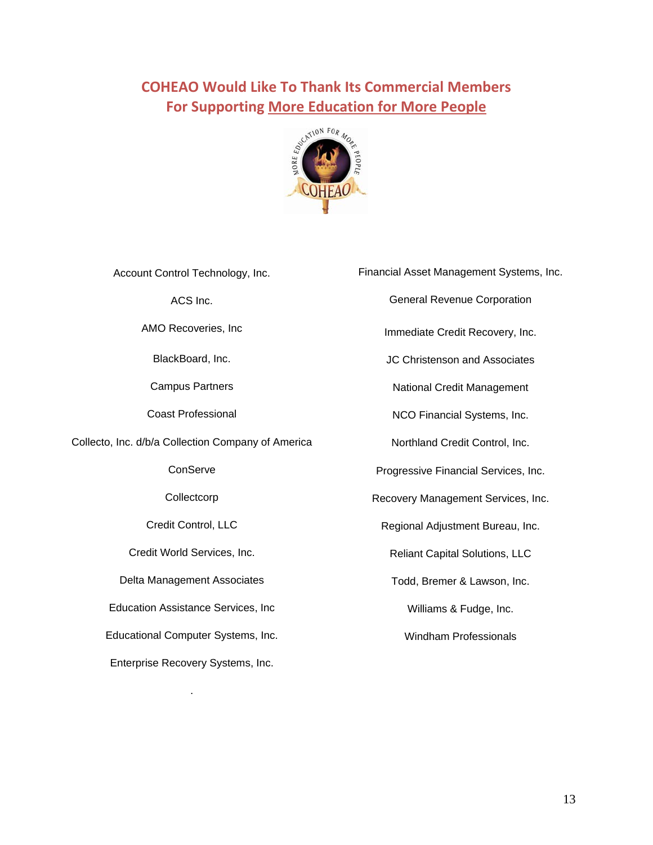# <span id="page-12-0"></span>**COHEAO Would Like To Thank Its Commercial Members For Supporting More Education for More People**



| Account Control Technology, Inc.                   | Financial Asset Management Systems, Inc. |
|----------------------------------------------------|------------------------------------------|
| ACS Inc.                                           | <b>General Revenue Corporation</b>       |
| AMO Recoveries, Inc.                               | Immediate Credit Recovery, Inc.          |
| BlackBoard, Inc.                                   | <b>JC Christenson and Associates</b>     |
| <b>Campus Partners</b>                             | National Credit Management               |
| <b>Coast Professional</b>                          | NCO Financial Systems, Inc.              |
| Collecto, Inc. d/b/a Collection Company of America | Northland Credit Control, Inc.           |
| ConServe                                           | Progressive Financial Services, Inc.     |
| Collectcorp                                        | Recovery Management Services, Inc.       |
| Credit Control, LLC                                | Regional Adjustment Bureau, Inc.         |
| Credit World Services, Inc.                        | <b>Reliant Capital Solutions, LLC</b>    |
| Delta Management Associates                        | Todd, Bremer & Lawson, Inc.              |
| <b>Education Assistance Services, Inc.</b>         | Williams & Fudge, Inc.                   |
| Educational Computer Systems, Inc.                 | <b>Windham Professionals</b>             |
| Enterprise Recovery Systems, Inc.                  |                                          |

.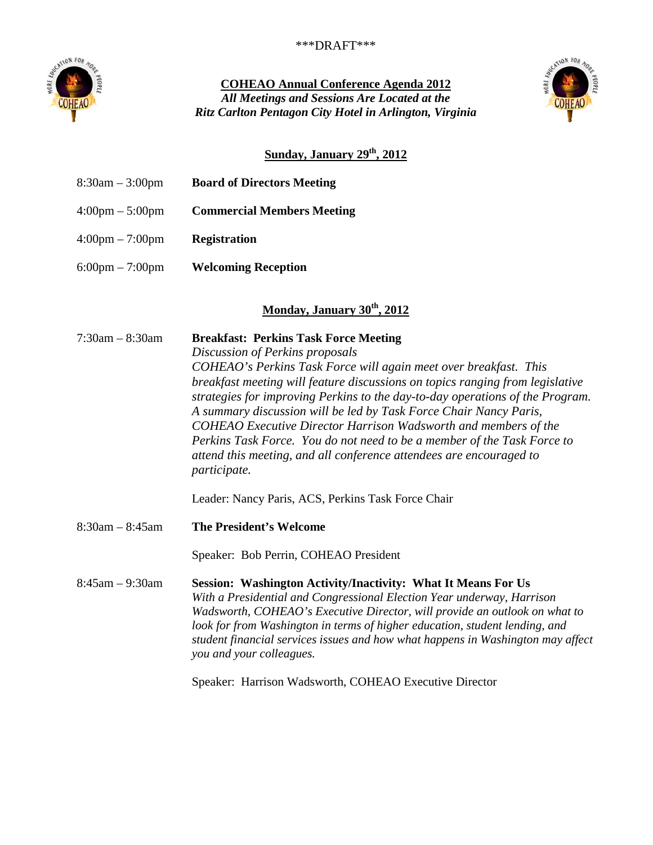

**COHEAO Annual Conference Agenda 2012** *All Meetings and Sessions Are Located at the Ritz Carlton Pentagon City Hotel in Arlington, Virginia*



# **Sunday, January 29th, 2012**

| $8:30am - 3:00pm$                 | <b>Board of Directors Meeting</b>                                                                                                                                                                                                                                                                                                                                                                                                                                                                                                                                                                                                                                                     |
|-----------------------------------|---------------------------------------------------------------------------------------------------------------------------------------------------------------------------------------------------------------------------------------------------------------------------------------------------------------------------------------------------------------------------------------------------------------------------------------------------------------------------------------------------------------------------------------------------------------------------------------------------------------------------------------------------------------------------------------|
| $4:00 \text{pm} - 5:00 \text{pm}$ | <b>Commercial Members Meeting</b>                                                                                                                                                                                                                                                                                                                                                                                                                                                                                                                                                                                                                                                     |
| $4:00 \text{pm} - 7:00 \text{pm}$ | <b>Registration</b>                                                                                                                                                                                                                                                                                                                                                                                                                                                                                                                                                                                                                                                                   |
| $6:00 \text{pm} - 7:00 \text{pm}$ | <b>Welcoming Reception</b>                                                                                                                                                                                                                                                                                                                                                                                                                                                                                                                                                                                                                                                            |
|                                   | Monday, January 30 <sup>th</sup> , 2012                                                                                                                                                                                                                                                                                                                                                                                                                                                                                                                                                                                                                                               |
| $7:30am - 8:30am$                 | <b>Breakfast: Perkins Task Force Meeting</b><br>Discussion of Perkins proposals<br>COHEAO's Perkins Task Force will again meet over breakfast. This<br>breakfast meeting will feature discussions on topics ranging from legislative<br>strategies for improving Perkins to the day-to-day operations of the Program.<br>A summary discussion will be led by Task Force Chair Nancy Paris,<br>COHEAO Executive Director Harrison Wadsworth and members of the<br>Perkins Task Force. You do not need to be a member of the Task Force to<br>attend this meeting, and all conference attendees are encouraged to<br>participate.<br>Leader: Nancy Paris, ACS, Perkins Task Force Chair |
| $8:30am - 8:45am$                 | <b>The President's Welcome</b>                                                                                                                                                                                                                                                                                                                                                                                                                                                                                                                                                                                                                                                        |
|                                   | Speaker: Bob Perrin, COHEAO President                                                                                                                                                                                                                                                                                                                                                                                                                                                                                                                                                                                                                                                 |
| $8:45am - 9:30am$                 | <b>Session: Washington Activity/Inactivity: What It Means For Us</b><br>With a Presidential and Congressional Election Year underway, Harrison<br>Wadsworth, COHEAO's Executive Director, will provide an outlook on what to<br>look for from Washington in terms of higher education, student lending, and<br>student financial services issues and how what happens in Washington may affect<br>you and your colleagues.<br>Speaker: Harrison Wadsworth, COHEAO Executive Director                                                                                                                                                                                                  |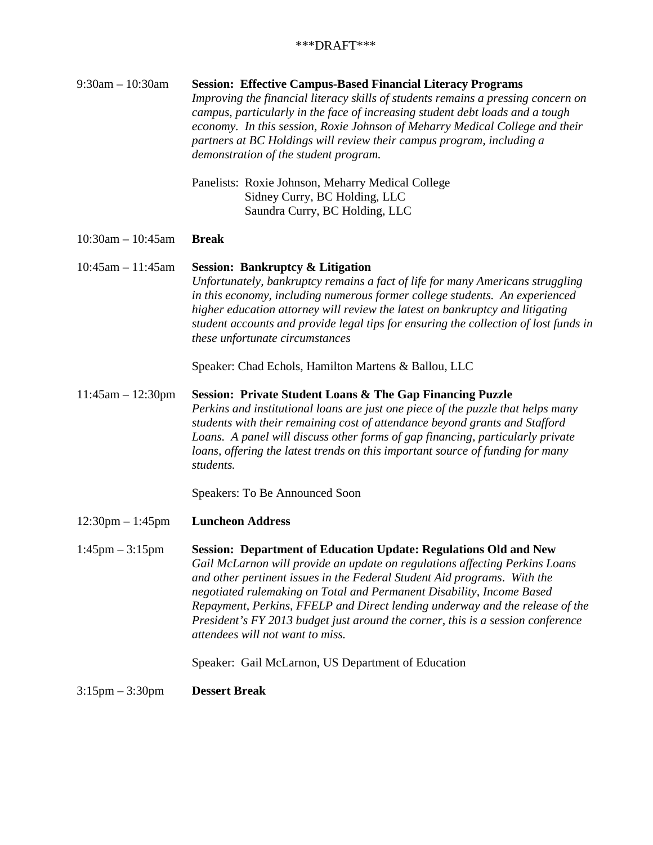| $9:30$ am $-10:30$ am              | <b>Session: Effective Campus-Based Financial Literacy Programs</b><br>Improving the financial literacy skills of students remains a pressing concern on<br>campus, particularly in the face of increasing student debt loads and a tough<br>economy. In this session, Roxie Johnson of Meharry Medical College and their<br>partners at BC Holdings will review their campus program, including a<br>demonstration of the student program.                                                                         |
|------------------------------------|--------------------------------------------------------------------------------------------------------------------------------------------------------------------------------------------------------------------------------------------------------------------------------------------------------------------------------------------------------------------------------------------------------------------------------------------------------------------------------------------------------------------|
|                                    | Panelists: Roxie Johnson, Meharry Medical College<br>Sidney Curry, BC Holding, LLC<br>Saundra Curry, BC Holding, LLC                                                                                                                                                                                                                                                                                                                                                                                               |
| $10:30$ am $- 10:45$ am            | <b>Break</b>                                                                                                                                                                                                                                                                                                                                                                                                                                                                                                       |
| $10:45am - 11:45am$                | <b>Session: Bankruptcy &amp; Litigation</b><br>Unfortunately, bankruptcy remains a fact of life for many Americans struggling<br>in this economy, including numerous former college students. An experienced<br>higher education attorney will review the latest on bankruptcy and litigating<br>student accounts and provide legal tips for ensuring the collection of lost funds in<br>these unfortunate circumstances                                                                                           |
|                                    | Speaker: Chad Echols, Hamilton Martens & Ballou, LLC                                                                                                                                                                                                                                                                                                                                                                                                                                                               |
| $11:45am - 12:30pm$                | <b>Session: Private Student Loans &amp; The Gap Financing Puzzle</b><br>Perkins and institutional loans are just one piece of the puzzle that helps many<br>students with their remaining cost of attendance beyond grants and Stafford<br>Loans. A panel will discuss other forms of gap financing, particularly private<br>loans, offering the latest trends on this important source of funding for many<br>students.                                                                                           |
|                                    | Speakers: To Be Announced Soon                                                                                                                                                                                                                                                                                                                                                                                                                                                                                     |
| $12:30 \text{pm} - 1:45 \text{pm}$ | <b>Luncheon Address</b>                                                                                                                                                                                                                                                                                                                                                                                                                                                                                            |
| $1:45$ pm $-3:15$ pm               | <b>Session: Department of Education Update: Regulations Old and New</b><br>Gail McLarnon will provide an update on regulations affecting Perkins Loans<br>and other pertinent issues in the Federal Student Aid programs. With the<br>negotiated rulemaking on Total and Permanent Disability, Income Based<br>Repayment, Perkins, FFELP and Direct lending underway and the release of the<br>President's FY 2013 budget just around the corner, this is a session conference<br>attendees will not want to miss. |
|                                    | Speaker: Gail McLarnon, US Department of Education                                                                                                                                                                                                                                                                                                                                                                                                                                                                 |
| $3:15 \text{pm} - 3:30 \text{pm}$  | <b>Dessert Break</b>                                                                                                                                                                                                                                                                                                                                                                                                                                                                                               |
|                                    |                                                                                                                                                                                                                                                                                                                                                                                                                                                                                                                    |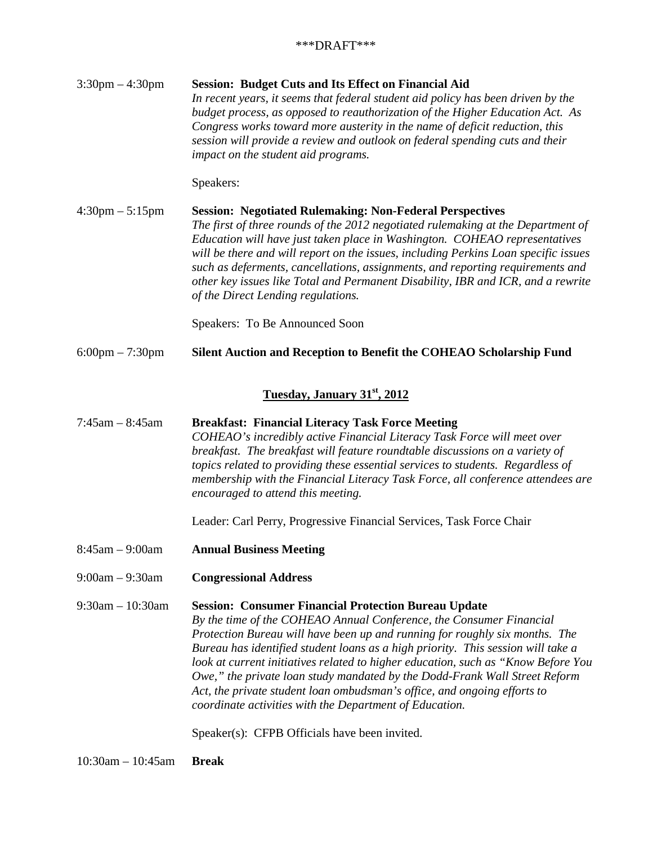3:30pm – 4:30pm **Session: Budget Cuts and Its Effect on Financial Aid** *In recent years, it seems that federal student aid policy has been driven by the budget process, as opposed to reauthorization of the Higher Education Act. As Congress works toward more austerity in the name of deficit reduction, this session will provide a review and outlook on federal spending cuts and their impact on the student aid programs.* 

Speakers:

4:30pm – 5:15pm **Session: Negotiated Rulemaking: Non-Federal Perspectives** *The first of three rounds of the 2012 negotiated rulemaking at the Department of Education will have just taken place in Washington. COHEAO representatives will be there and will report on the issues, including Perkins Loan specific issues such as deferments, cancellations, assignments, and reporting requirements and other key issues like Total and Permanent Disability, IBR and ICR, and a rewrite of the Direct Lending regulations.* 

Speakers: To Be Announced Soon

6:00pm – 7:30pm **Silent Auction and Reception to Benefit the COHEAO Scholarship Fund**

#### **Tuesday, January 31st, 2012**

7:45am – 8:45am **Breakfast: Financial Literacy Task Force Meeting** *COHEAO's incredibly active Financial Literacy Task Force will meet over breakfast. The breakfast will feature roundtable discussions on a variety of topics related to providing these essential services to students. Regardless of membership with the Financial Literacy Task Force, all conference attendees are encouraged to attend this meeting.*

Leader: Carl Perry, Progressive Financial Services, Task Force Chair

- 8:45am 9:00am **Annual Business Meeting**
- 9:00am 9:30am **Congressional Address**

9:30am – 10:30am **Session: Consumer Financial Protection Bureau Update** *By the time of the COHEAO Annual Conference, the Consumer Financial Protection Bureau will have been up and running for roughly six months. The Bureau has identified student loans as a high priority. This session will take a look at current initiatives related to higher education, such as "Know Before You Owe," the private loan study mandated by the Dodd-Frank Wall Street Reform Act, the private student loan ombudsman's office, and ongoing efforts to coordinate activities with the Department of Education.* 

Speaker(s): CFPB Officials have been invited.

10:30am – 10:45am **Break**